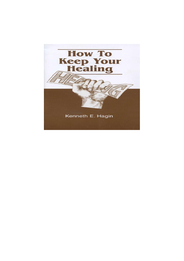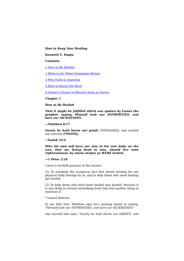**How to Keep Your Healing**

**Kenneth E. Hagin**

**Contents**

1 How to Be Healed

2 What to Do When Symptoms Return

3 Why Faith Is Importan

4 How to Resist the Devil

A Sinner's Prayer to Receive Jesus as Savior

**Chapter 1**

**How to Be Healed**

*That it might be fulfilled which was spoken by Esaias the prophet, saying, Himself took our INFIRMITIES, and bare our SICKNESSES.*

**—Matthew 8:17**

*Surely he hath borne our griefs* [\*DISEASES], and carried our sorrows **[\*PAINS].**

**—Isaiah 53:4**

*Who his own self bare our sins in his own body on the tree, that we, being dead to sins, should live unto righteousness: by whose stripes ye WERE healed.*

**—1 Peter 2:24**

I have a twofold purpose in this lesson:

(1) To establish the scriptural fact that divine healing for our physical body belongs to us, and to help those who need healing get healed.

(2) To help those who have been healed stay healed, because it is one thing to receive something from God and another thing to maintain it.

\* Literal Hebrew.

In our first text, Matthew says he's quoting Isaiah in saying, *"Himself took our INFIRMITIES, and bare our SICKNESSES."*

Our second text says, *"Surely he hath borne our GRIEFS, and*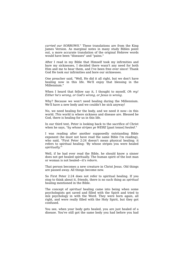*carried our SORROWS."* These translations are from the King James Version. As marginal notes in many study Bibles point out, a more accurate translation of the original Hebrew words would have been "diseases" and "pains."

After I read in my Bible that Himself took my infirmities and bare my sicknesses, I decided there wasn't any need for both Him and me to bear them, and I've been free ever since! Thank God He took our infirmities and bore our sicknesses.

One preacher said, "Well, He did it all right, but we don't have healing now in this life. We'll enjoy that blessing in the Millennium."

When I heard that fellow say it, I thought to myself, *Oh my! Either he's wrong, or God's wrong, or Jesus is wrong.*

Why? Because we won't need healing during the Millennium. We'll have a new body and we couldn't be sick anyway!

No, we need healing for the body, and we need it now—in this world. *This* world is where sickness and disease are. Blessed be God, there is healing for us in this life.

In our third text, Peter is looking back to the sacrifice of Christ when he says, *"by whose stripes ye WERE* [past tense] *healed."*

I was reading after another supposedly outstanding Bible exponent (he must not have read the same Bible I'm reading), who said, "First Peter 2:24 doesn't mean physical healing; it refers to spiritual healing: 'By whose stripes you were healed *spiritually.'"*

Well, if he had ever read the Bible, he should know a sinner does not get healed spiritually. The human spirit of the lost man or woman is not healed—it's *reborn.*

That person becomes a new creature in Christ Jesus. Old things are passed away. All things become new.

So First Peter 2:24 does not refer to spiritual healing. If you stop to think about it, friends, there is no such thing as *spiritual* healing mentioned in the Bible.

The concept of *spiritual* healing came into being when some psychologists got saved and filled with the Spirit and tried to mix psychology in with the Word. They were born again, all right, and were really filled with the Holy Spirit, but they got confused.

You see, when your body gets healed, you are just healed of a disease. You've still got the same body you had before you had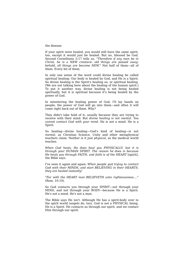the disease.

If your spirit were healed, you would still have the same spirit, too, except it would just be healed. But no, blessed be God, Second Corinthians 5:17 tells *us, "Therefore if any man be in Christ, he is a NEW creature: old things are passed away; behold, all things are become NEW."* Not half of them—all of them. Every bit of them.

In only one sense of the word could divine healing be called spiritual healing: Our body is healed by God, and He is a Spirit. So divine healing is the Spirit's healing us, or spiritual healing. (We are not talking here about the healing of the human spirit.) To put it another way, divine healing is not being healed spiritually, but it is spiritual because it's being healed by the power of God.

In ministering the healing power of God, I'll lay hands on people, the power of God will go into them—and often it will come right back out of them. Why?

They didn't take hold of it; usually because they are trying to receive with their mind. But *divine healing is not mental. You cannot contact God with your mind.* He is not a mind. He is a Spirit.

So healing—divine healing—God's kind of healing—is not *mental,* as Christian Science, Unity and other metaphysical teachers claim. Neither is it just *physical,* as the medical world teaches.

*When God heals, He does heal you PHYSICALLY, but it is through your HUMAN SPIRIT. The reason he does is because He heals you through FAITH, and faith is of the HEART* [spirit], the Bible says.

I've seen it again and again: *When people quit trying to contact God with their MINDS, and start BELIEVING in their HEARTS, they are healed instantly!*

*"For with the HEART man BELIEVETH unto righteousness...."* (Rom. 10:10).

So God contacts you through your SPIRIT—not through your MIND, and not through your BODY—because He is a Spirit. He's not a mind. He's not a man.

The Bible says He isn't. Although He has a spirit-body over in the spirit world (angels do, too), God is not a PHYSICAL being. He is a Spirit. He contacts us through our spirit, and we contact Him through our spirit.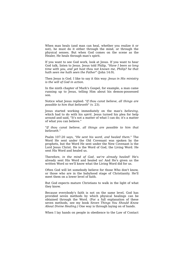When man heals (and man can heal, whether you realize it or not), he must do it either through the mind, or through the physical senses. But when God comes on the scene as the Healer, He heals through man's spirit.

If you want to see God work, look at Jesus. If you want to hear God talk, listen to Jesus. Jesus told Philip, *"Have I been so long time with you, and yet hast thou not known me, Philip? he that hath seen me hath seen the Father"* (John 14:9).

Then Jesus is God. I like to say it this way: *Jesus in His ministry is the will of God in action.*

In the ninth chapter of Mark's Gospel, for example, a man came running up to Jesus, telling Him about his demon-possessed son.

Notice what Jesus replied: *"If thou canst believe, all things are possible to him that believeth"* (v. 23).

Jesus started working immediately on the man's *believing,* which had to do with his *spirit*. Jesus turned his plea for help around and said, "It's not a matter of what I can do; it's a matter of what you can believe."

*"If thou canst believe, all things are possible to him that believeth."*

Psalm 107:20 says, *"He sent his word, and healed them."* The Word He sent under the Old Covenant was spoken by the prophets, but the Word He sent under the New Covenant is the Lord Jesus Christ. He is the Word of God, the Living Word. He sent His Word and healed us.

Therefore, *in the mind of God, we're already healed!* He's already sent His Word and healed us! And He's given us the written Word so we'll know what the Living Word did for us.

Often God will let somebody believe for those Who don't know, or those who are in the babyhood stage of Christianity. He'll meet them on a lower level of faith.

But God expects mature Christians to walk in the light of what they know.

Because everybody's faith is not on the same level, God has provided seven methods by which physical healings can be obtained through the Word. (For a full explanation of these seven methods, see my book *Seven Things You Should Know About Divine Healing.)* One way is through laying on of hands.

When I lay hands on people in obedience to the Law of Contact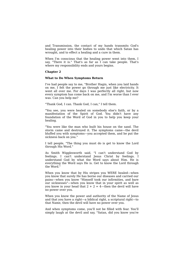and Transmission, the contact of my hands transmits God's healing power into their bodies to undo that which Satan has wrought, and to effect a healing and a cure in them.

When I'm conscious that the healing power went into them, I say, "There it is." That's as far as I can take people. That's where my responsibility ends and yours begins.

## **Chapter 2**

#### **What to Do When Symptoms Return**

I've had people say to me, "Brother Hagin, when you laid hands on me, I felt the power go through me just like electricity. It went all over me. For days I was perfectly all right, but now every symptom has come back on me, and I'm worse than I ever was. Can you help me?

"Thank God, I can. Thank God, I can," I tell them.

"You see, you were healed on somebody else's faith, or by a manifestation of the Spirit of God. You didn't have any foundation of the Word of God in you to help you keep your healing.

"You were like the man who built his house on the sand. The storm came and destroyed it. The symptoms came—the devil bluffed you with symptoms—you accepted them, and he put the sickness back on you."

I tell people, "The thing you must do is get to know the Lord through His Word."

As Smith Wigglesworth said, "I can't understand God by feelings. I can't understand Jesus Christ by feelings. I understand God by what the Word says about Him. He is everything the Word says He is. Get to know the Lord through the Word."

When you know that by His stripes you WERE healed—when you know that surely He has borne our diseases and carried our pains—when you know "Himself took our infirmities, and bare our sicknesses"—when you know that in your spirit as well as you know in your head that  $2 + 2 = 4$ —then the devil will have no power over you.

When you know the power and authority of the Name of Jesus and that you have a right—a biblical right, a scriptural right—to that Name, then the devil will have no power over you.

And when symptoms come, you'll not be filled with fear. You'll simply laugh at the devil and say, "Satan, did you know you're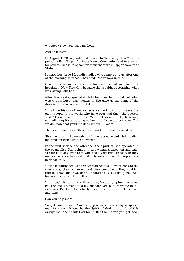whipped? Now you leave my body!"

And he'll leave.

In August 1970, my wife and I went to Syracuse, New York, to preach a Full Gospel Business Men's Convention and to stay on for several weeks to speak for their chapters in Upper New York State.

I remember three Methodist ladies who came up to us after one of the morning services. They said, "We're new in this."

One of the ladies told me how her doctors had sent her to a hospital in New York City because they couldn't determine what was wrong with her.

After five weeks, specialists told her they had found out what was wrong, but it was incurable. She gave us the name of the disease; I had never heard of it.

"In all the history of medical science we know of only seven or eight people in the world who have ever had this," the doctors said. "There is no cure for it. We don't know exactly how long you will live; it's according to how the disease progresses. But we do know that you'll be dead within 10 years."

That's not much for a 36-year-old mother to look forward to.

She went on, "Somebody told me about wonderful healing meetings in Pittsburgh, so I went."

In the first service she attended, the Spirit of God operated in the evangelist. She pointed in this woman's direction and said, "There is a lady over here who has a very rare disease. In fact, medical science has said that only seven or eight people have ever had this."

"I was instantly healed," this woman related. "I went back to the specialists; they ran every test they could; and they couldn't find it. They said, \*We don't understand it, but it's gone.' And for months I never felt better.

"But now," she told my wife and me, "every symptom has come back on me. I haven't told my husband yet, but I'm worse than I ever was. I've been back to the meetings, but I haven't received anything.

Can you help me?"

"Yes, I can," I said. "You see, you were healed by a special manifestation initiated by the Spirit of God in the life of this evangelist—and thank God for it. But then, after you got back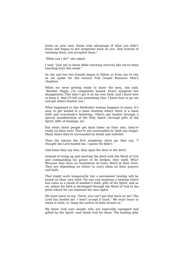home on your own, Satan took advantage of what you didn't know and began to put symptoms back on you. And instead of resisting them, you accepted them."

"What can I do?" she asked.

I said, "Just get in these Bible teaching services like we've been teaching here this week."

So she and her two friends began to follow us from city to city as we spoke for the various Full Gospel Business Men's chapters.

When we were getting ready to leave the area, she said, "Brother Hagin, I'm completely healed. Every symptom has disappeared. This time I got it on my own faith, and I know how to keep it. And I'll tell you something else: I know how to go out and get others healed, too."

What happened to this Methodist woman happens to many. It's easy to get healed in a mass meeting where there is a mass faith and everybody's believing. Others get healed through a special manifestation of the Holy Spirit—through gifts of the Spirit, gifts of healings, etc.

But when these people get back home on their own, they're really on their own! They're not surrounded by faith any longer. Many times they're surrounded by doubt and unbelief.

Then the minute the first symptoms show up, they say, "I *thought* the Lord healed me. I guess He didn't."

And when they say that, they open the door to the devil.

Instead of rising up and meeting the devil with the Word of God and commanding his power to be broken, they yield. Why? Because they have no foundation of God's Word in their lives. They are depending on others to carry them on their prayers and faith.

That might work temporarily, but a permanent healing will be based on their own faith. No one can maintain a healing which has come as a result of another's faith, gifts of the Spirit, and so on, unless his faith is developed through the Word of God to the point where he can maintain his own rights.

We must learn to say, "Devil, you can't put that back on me! The Lord has healed me. I won't accept it back." We must learn to stand in faith; to "keep the switch of faith turned on."

We know God uses people who are especially equipped and gifted by the Spirit—and thank God for them. The healing gifts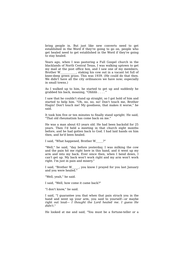bring people in. But just like new converts need to get established in the Word if they're going to go on, people who get healed need to get established in the Word if they're going to stay healed.

Years ago, when I was pastoring a Full Gospel church in the blacklands of North Central Texas, I was walking uptown to get my mail at the post office box, and I saw one of my members, Brother W<sub>camer</sub>, staking his cow out in a vacant lot full of knee-deep green grass. This was 1939. (He could do that then. We didn't have all the city ordinances we have now; especially in small towns.)

As I walked up to him, he started to get up and suddenly he grabbed his back, moaning, "Ohhhh . . . . "

I saw that he couldn't stand up straight, so I got hold of him and started to help him. "Oh, no, no, no! Don't touch me, Brother Hagin! Don't touch me! My goodness, that makes it worse," he said.

It took him five or ten minutes to finally stand upright. He said, "That old rheumatism has come back on me."

He was a man about 63 years old. He had been backslid for 25 years. Then I'd held a meeting in that church eight months before, and he had gotten back to God. I had laid hands on him then, and he'd been healed.

I said, "What happened, Brother W\_\_\_\_\_?"

"Well," he said, "day before yesterday, I was milking the cow and the pain hit me right here in this hand, and it went up my arm and into my back. Ever since then, when I bend down, I can't get up. My back won't work right and my arm won't work right. I'm just in pain and misery."

I said, "Brother W\_\_\_\_\_, you know I prayed for you last January and you were healed."

"Well, yeah," he said.

I said, "Well, how come it came back?"

"I don't know," he said.

I said, "I guarantee you that when that pain struck you in the hand and went up your arm, you said to yourself—or maybe right out loud— *I thought the Lord healed me. I guess He didn't."*

He looked at me and said, "You must be a fortune-teller or a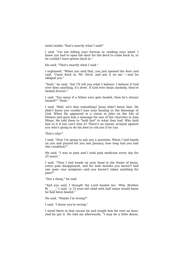mind reader. That's exactly what I said!"

I said, "I'm not telling your fortune or reading your mind. I knew you had to open the door for the devil to come back in, or he couldn't have gotten back in."

He said, "That's exactly what I said."

I explained, "When you said that, you just opened the door and said, 'Come back in, Mr. Devil, and put it on me '—and he obliged you."

"Yeah," he said, "but I'll tell you what I believe: I believe if God ever does anything, it's *done.* If God ever heals anybody, they're healed *forever."*

I said, "You mean if a fellow ever gets healed, then he's always healed?" "Yeah."

I said, "Well, isn't that something? Jesus didn't know that. He didn't know you couldn't lose your healing or the blessings of God. When He appeared in a vision to John on the Isle of Patmos and gave him a message for one of the churches in Asia Minor, He told them to "hold fast" to what they had. Why hold fast to it if you can't lose it? There's an enemy arrayed against you who's going to do his best to rob you if he can.

That's why!"

I said, "Now I'm going to ask you a question: When I laid hands on you and prayed for you last January, how long had you had this condition?"

He said, "I was in pain and I took pain medicine every day for 25 years."

I said, "Then I laid hands on your head in the Name of Jesus, every pain disappeared, and for nine months you haven't had one pain—one symptom—and you haven't taken anything for pain?"

"Not a thing," he said.

"And you said, *I thought* the Lord healed me.' Why, Brother W  $\dot{M}$ ." I said, "a 12-year-old child with half sense would know he had been healed."

He said, "Maybe I'm wrong?"

I said, "I know you're wrong."

I stood there in that vacant lot and taught him for over an hour. And he got it. He told me afterwards, "I may be a little dense,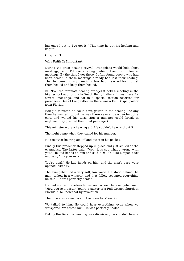but once I get it, I've got it!" This time he got his healing and kept it.

#### **Chapter 3**

## **Why Faith Is Important**

During the great healing revival, evangelists would hold short meetings, and I'd come along behind them with longer meetings. By the time I got there, I often found people who had been healed in those meetings already had lost their healing. That happened in my meetings, too, but I learned how to get them healed and keep them healed.

In 1952, the foremost healing evangelist held a meeting in the high school auditorium in South Bend, Indiana. I was there for several meetings, and sat in a special section reserved for preachers. One of the gentlemen there was a Full Gospel pastor from Florida.

Being a minister, he could have gotten in the healing line any time he wanted to, but he was there several days, so he got a card and waited his turn. (But a minister could break in anytime; they granted them that privilege.)

This minister wore a hearing aid. He couldn't hear without it.

The night came when they called for his number.

He took that hearing aid off and put it in his pocket.

Finally this preacher stepped up in place and just smiled at the evangelist. The latter said, "Well, let's see what's wrong with you." He laid hands on him and said, "Oh, oh!" He jumped back and said, "It's your ears.

You're deaf." He laid hands on him, and the man's ears were opened instantly.

The evangelist had a very soft, low voice. He stood behind the man, talked in a whisper, and that fellow repeated everything he said. He was perfectly healed.

He had started to return to his seat when The evangelist said, "Hey, you're a pastor. You're a pastor of a Full Gospel church in Florida." He knew that by revelation.

Then the man came back to the preachers' section.

We talked to him. He could hear everything, even when we whispered. We tested him. He was perfectly healed.

But by the time the meeting was dismissed, he couldn't hear a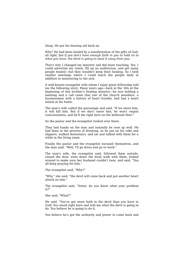thing. He put his hearing aid back on.

Why? He had been healed by a manifestation of the gifts of God, all right, but *if you don't have enough faith in you to hold on to what you have, the devil is going to steal it away from you.*

That's why I changed my ministry and did more teaching. Yes, I could advertise my vision, fill up an auditorium, and get many people healed—but they wouldn't keep their healing. So I held smaller meetings where I could teach the people daily in addition to ministering to the sick.

A well-known evangelist with whom I enjoy great fellowship told me the following story: Many years ago—back in the '40s at the beginning of this brother's healing ministry—he was holding a meeting and a call came that one of the church members, a businessman with a history of heart trouble, had had a heart attack at his home.

The man's wife called the parsonage and said, "If we move him, it will kill him. But if we don't move him, he won't regain consciousness, and he'll die right here on the bedroom floor."

So the pastor and the evangelist rushed over there.

They laid hands on the man and instantly he rose up well. He had been in the process of dressing, so he put on his robe and slippers, walked downstairs, and sat and talked with them for a while in the living room.

Finally the pastor and the evangelist excused themselves, and the man said, "Well, I'll go dress and go to work."

The man's wife, the evangelist said, followed them outside, closed the door, went down the front walk with them, looked around to make sure her husband couldn't hear, and said, "You all keep praying for him."

The evangelist said, "Why?"

"Why," she said, "the devil will come back and put another heart attack on him."

The evangelist said, "Sister, do you know what your problem is?"

She said, "What?"

He said, "You've got more faith in the devil than you have in God! You stood right here and told me what the devil is going to do. You believe he is going to do it.

You believe he's got the authority and power to come back and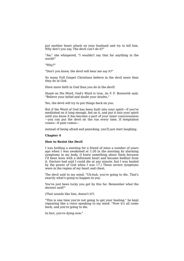put another heart attack on your husband and try to kill him. Why don't you say, The devil can't do it?"

"Aw," she whispered, "I wouldn't say that for anything in the world!"

"Why?"

"Don't you know, the devil will hear me say it?"

So many Full Gospel Christians believe in the devil more than they do in God.

Have more faith in God than you do in the devil!

Stand on His Word. God's Word is true. As F. F. Bosworth said, "Believe your belief and doubt your doubts."

Yes, the devil will try to put things back on you.

But if the Word of God has been built into your spirit—if you've meditated on it long enough, fed on it, and put it into your spirit until you know it has become a part of your inner consciousness —you can put the devil on the run every time. If temptation comes—if pain comes—

instead of being afraid and panicking, you'll just start laughing.

#### **Chapter 4**

## **How to Resist the Devil**

I was holding a meeting for a friend of mine a number of years ago when I was awakened at 1:30 in the morning by alarming symptoms in my body. (I knew something about them because I'd been born with a deformed heart and became bedfast from it. Doctors had said I could die at any minute, but I was healed by the power of God when I was 17.) These severe symptoms were in the region of my heart and chest.

The devil said to my mind, "Uh-huh, you're going to die. That's exactly what's going to happen to you.

You've just been lucky you got by this far. Remember what the doctors said?"

(That sounds like him, doesn't it?)

"This is one time you're not going to get your healing," he kept repeating like a voice speaking to my mind. "Now it's all come back, and you're going to die.

In fact, you're dying now."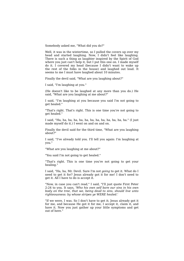Somebody asked me, "What did you do?"

Well, it was in the wintertime, so I pulled the covers up over my head and started laughing. Now, I didn't feel like laughing. There is such a thing as laughter inspired by the Spirit of God where you just can't help it, but I put this one on. I made myself do it. I covered my head (because I didn't want to wake up the rest of the folks in the house) and laughed out loud. It seems to me I must have laughed about 10 minutes.

Finally the devil said, "What are you laughing about?"

I said, "I'm laughing at you."

(He doesn't like to be laughed at any more than you do.) He said, "What are you laughing at me about?"

I said, "I'm laughing at you because you said I'm not going to get healed."

"That's right. That's right. This is one time you're not going to get healed."

I said, "Ha, ha, ha, ha, ha, ha, ha, ha, ha, ha, ha, ha, ha." (I just made myself do it.) I went on and on and on.

Finally the devil said for the third time, "What are you laughing about?"

I said, "I've already told you. I'll tell you again: I'm laughing at you."

"What are you laughing at me about?"

"You said I'm not going to get healed."

"That's right. This is one time you're not going to get your healing."

I said, "Ha, ha, Mr. Devil. Sure I'm not *going* to get it. What do I need to get it for? Jesus already got it for me! I don't need to get it. All I have to do is accept it.

"Now, in case you can't read," I said, "I'll just quote First Peter 2:24 to you. It says, '*Who his own self bare our sins in his own body on the tree, that we, being dead to sins, should live unto righteousness: by whose stripes ye WERE healed.'*

"If we were, I was. So I don't have to get it; Jesus already got it for me, and because He got it for me, I accept it, claim it, and have it. Now you just gather up your little symptoms and get out of here."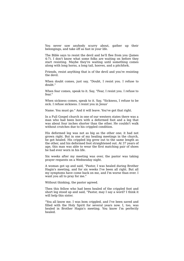You never saw anybody scurry about, gather up their belongings, and take off as fast in your life.

The Bible says to resist the devil and he'll flee from you (James 4:7). I don't know what some folks are waiting on before they start resisting. Maybe they're waiting until something comes along with long horns, a long tail, hooves, and a pitchfork.

Friends, resist anything that is of the devil and you're resisting the devil.

When doubt comes, just say, "Doubt, I resist you. I refuse to doubt."

When fear comes, speak to it. Say, "Fear, I resist you. I refuse to fear."

When sickness comes, speak to it. Say, "Sickness, I refuse to be sick. I refuse sickness. I resist you in Jesus'

Name. You must go." And it will leave. You've got that right.

In a Full Gospel church in one of our western states there was a man who had been born with a deformed foot and a leg that was about four inches shorter than the other. He couldn't walk without crutches due to his crippled condition.

His deformed leg was not as big as the other one; it had not grown right. But in one of my healing meetings in the church, he got healed. His crippled leg grew out to the same length as the other, and his deformed foot straightened out. At 37 years of age, this man was able to wear the first matching pair of shoes he had ever worn in his life.

Six weeks after my meeting was over, the pastor was taking prayer requests on a Wednesday night.

A woman got up and said, "Pastor, I was healed during Brother Hagin's meeting, and for six weeks I've been all right. But all my symptoms have come back on me, and I'm worse than ever. I want you all to pray for me."

Without thinking, the pastor agreed.

Then this fellow who had been healed of the crippled foot and short leg stood up and said, "Pastor, may I say a word? I think it will help this sister.

"You all know me. I was bom crippled, and I've been saved and filled with the Holy Spirit for several years now. I, too, was healed in Brother Hagin's meeting. You know I'm perfectly healed.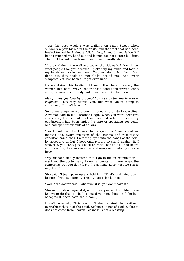"Just this past week I was walking on Main Street when suddenly a pain hit me in the ankle, and that foot that had been healed turned in. I almost fell. In fact, I would have fallen if I hadn't reached my hand out and leaned against a store building. That foot turned in with such pain I could hardly stand it.

"I just slid down the wall and sat on the sidewalk. I don't know what people thought, because I picked up my ankle and foot in my hands and yelled out loud, 'No, you don't, Mr. Devil! You don't put that back on me! God's healed me.' And every symptom left. I've been all right ever since."

He maintained his healing. Although the church prayed, the women lost hers. Why? Under those conditions prayer won't work, because she already had denied what God had done.

*Many times you lose by praying! You lose by turning in prayer requests!* That may startle you, but what you're doing is confessing, "I don't have it."

Some years ago we were down in Greensboro, North Carolina. A woman said to me, "Brother Hagin, when you were here two years ago, I was healed of asthma and related respiratory conditions. I had been under the care of specialists for years and had spent thousands of dollars.

"For 18 solid months I never had a symptom. Then, about six months ago, every symptom of the asthma and respiratory condition came back. I almost played into the hands of the devil by accepting it, but I kept endeavoring to stand against it. I said, 'No, you can't put it back on me!' Thank God I had heard your teaching. I came every day and every night when you were here.

"My husband finally insisted that I go in for an examination. I went and the doctor said, 'I don't understand it. You've got the symptoms, but you don't have the asthma. Every test we run is negative.'"

She said, "I just spoke up and told him, "That's that lying devil, bringing lying symptoms, trying to put it back on me!'"

"Well," the doctor said, "whatever it is, you don't have it."

She said, "I stood against it, and it disappeared. I wouldn't have known to do that if I hadn't heard your teaching." (If she had accepted it, she'd have had it back.)

I don't know why Christians don't stand against the devil and everything that is of the devil. Sickness is not of God. Sickness does not come from heaven. Sickness is not a blessing.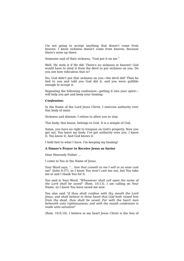I'm not going to accept anything that doesn't come from heaven. I know sickness doesn't come from heaven, because there's none up there.

Someone said of their sickness, "God put it on me."

Well, He stole it if He did. There's no sickness in heaven! God would have to steal it from the devil to put sickness on you. Do you see how ridiculous that is?

No, God didn't put that sickness on you—the devil did! Then he lied to you and told you God did it, and you were gullible enough to accept it.

Repeating the following confession—getting it into your spirit will help you get and keep your healing:

## *Confession:*

In the Name of the Lord Jesus Christ, I exercise authority over this body of mine.

Sickness and disease, I refuse to allow you to stay.

This body, this house, belongs to God. It is a temple of God.

Satan, you have no right to trespass on God's property. Now you get out. You leave my body. I've got authority over you. I know it, You know it, And God knows it.

I hold fast to what I have. I'm keeping my healing!

### **A Sinner's Prayer to Receive Jesus as Savior**

Dear Heavenly Father ...

I come to You in the Name of Jesus.

Your Word says, "... *him that cometh to me I will in no wise cast out"* (John 6:37), so I know You won't cast me out, but You take me in and I thank You for it.

You said in Your Word, *"Whosoever shall call upon the name of the Lord shall be saved"* (Rom. 10:13). I am calling on Your Name, so I know You have saved me now.

You also said *"if thou shalt confess with thy mouth the Lord Jesus, and shalt believe in thine heart that God hath raised him from the dead, thou shalt be saved. For with the heart man believeth unto righteousness; and with the mouth confession is made unto salvation"*

(Rom. 10:9,10). I believe in my heart Jesus Christ is the Son of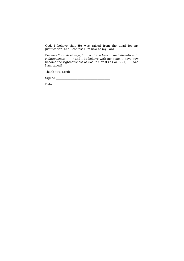God. I believe that He was raised from the dead for my justification, and I confess Him now as my Lord.

Because Your Word says, ". . . *with the heart man believeth unto righteousness* . . . " and I do believe with my heart, I have now become the righteousness of God in Christ (2 Cor. 5:21) . . . And I am saved!

Thank You, Lord!

Signed \_\_\_\_\_\_\_\_\_\_\_\_\_\_\_\_\_\_\_\_\_\_\_\_\_\_\_\_\_\_\_\_\_\_\_\_\_\_

 ${\it Date} \_{} \_{}$